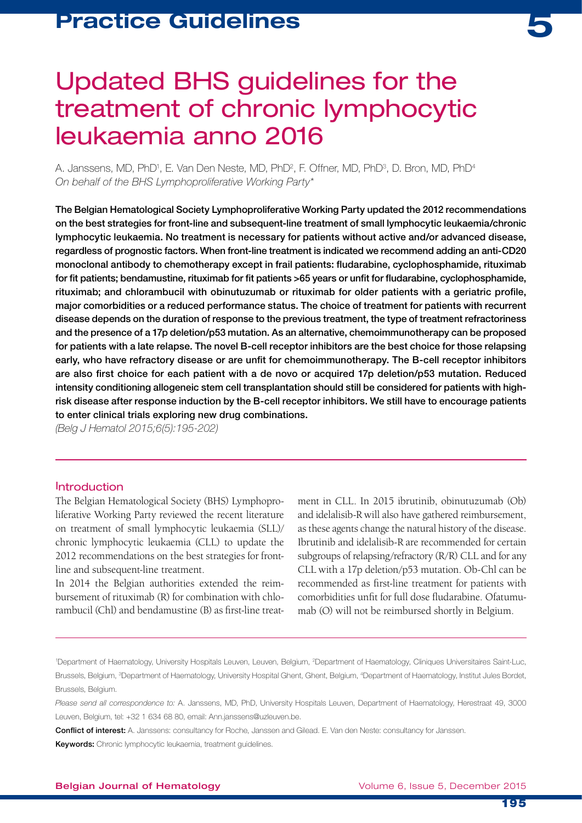

# Updated BHS guidelines for the treatment of chronic lymphocytic leukaemia anno 2016

A. Janssens, MD, PhD<sup>1</sup>, E. Van Den Neste, MD, PhD<sup>2</sup>, F. Offner, MD, PhD<sup>3</sup>, D. Bron, MD, PhD<sup>4</sup> *On behalf of the BHS Lymphoproliferative Working Party\** 

The Belgian Hematological Society Lymphoproliferative Working Party updated the 2012 recommendations on the best strategies for front-line and subsequent-line treatment of small lymphocytic leukaemia/chronic lymphocytic leukaemia. No treatment is necessary for patients without active and/or advanced disease, regardless of prognostic factors. When front-line treatment is indicated we recommend adding an anti-CD20 monoclonal antibody to chemotherapy except in frail patients: fludarabine, cyclophosphamide, rituximab for fit patients; bendamustine, rituximab for fit patients >65 years or unfit for fludarabine, cyclophosphamide, rituximab; and chlorambucil with obinutuzumab or rituximab for older patients with a geriatric profile, major comorbidities or a reduced performance status. The choice of treatment for patients with recurrent disease depends on the duration of response to the previous treatment, the type of treatment refractoriness and the presence of a 17p deletion/p53 mutation. As an alternative, chemoimmunotherapy can be proposed for patients with a late relapse. The novel B-cell receptor inhibitors are the best choice for those relapsing early, who have refractory disease or are unfit for chemoimmunotherapy. The B-cell receptor inhibitors are also first choice for each patient with a de novo or acquired 17p deletion/p53 mutation. Reduced intensity conditioning allogeneic stem cell transplantation should still be considered for patients with highrisk disease after response induction by the B-cell receptor inhibitors. We still have to encourage patients to enter clinical trials exploring new drug combinations.

*(Belg J Hematol 2015;6(5):195-202)*

### Introduction

The Belgian Hematological Society (BHS) Lymphoproliferative Working Party reviewed the recent literature on treatment of small lymphocytic leukaemia (SLL)/ chronic lymphocytic leukaemia (CLL) to update the 2012 recommendations on the best strategies for frontline and subsequent-line treatment.

In 2014 the Belgian authorities extended the reimbursement of rituximab (R) for combination with chlorambucil (Chl) and bendamustine (B) as first-line treat-

ment in CLL. In 2015 ibrutinib, obinutuzumab (Ob) and idelalisib-R will also have gathered reimbursement, as these agents change the natural history of the disease. Ibrutinib and idelalisib-R are recommended for certain subgroups of relapsing/refractory (R/R) CLL and for any CLL with a 17p deletion/p53 mutation. Ob-Chl can be recommended as first-line treatment for patients with comorbidities unfit for full dose fludarabine. Ofatumumab (O) will not be reimbursed shortly in Belgium.

<sup>1</sup>Department of Haematology, University Hospitals Leuven, Leuven, Belgium, <sup>2</sup>Department of Haematology, Cliniques Universitaires Saint-Luc, Brussels, Belgium, <sup>3</sup>Department of Haematology, University Hospital Ghent, Ghent, Belgium, <sup>4</sup>Department of Haematology, Institut Jules Bordet, Brussels, Belgium.

*Please send all correspondence to:* A. Janssens, MD, PhD, University Hospitals Leuven, Department of Haematology, Herestraat 49, 3000 Leuven, Belgium, tel: +32 1 634 68 80, email: Ann.janssens@uzleuven.be.

Conflict of interest: A. Janssens: consultancy for Roche, Janssen and Gilead. E. Van den Neste: consultancy for Janssen.

**Keywords:** Chronic lymphocytic leukaemia, treatment guidelines.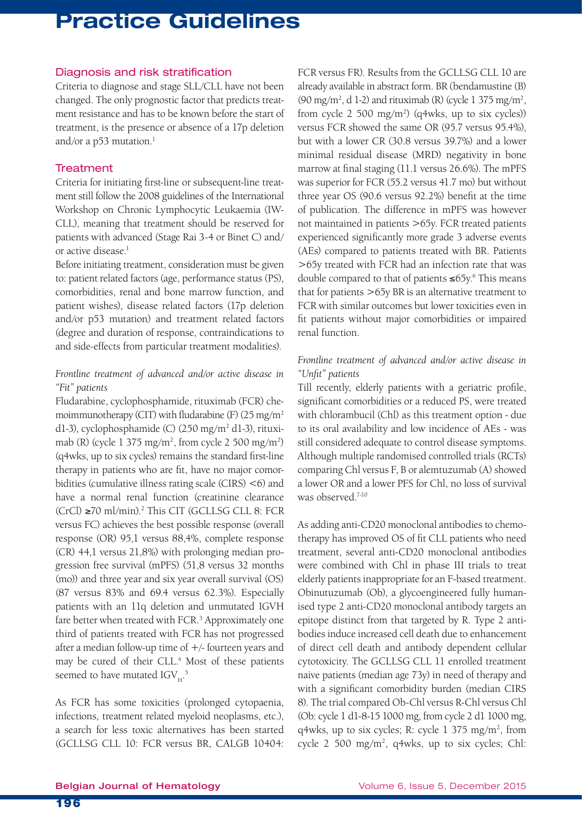### Diagnosis and risk stratification

Criteria to diagnose and stage SLL/CLL have not been changed. The only prognostic factor that predicts treatment resistance and has to be known before the start of treatment, is the presence or absence of a 17p deletion and/or a  $p53$  mutation.<sup>1</sup>

### **Treatment**

Criteria for initiating first-line or subsequent-line treatment still follow the 2008 guidelines of the International Workshop on Chronic Lymphocytic Leukaemia (IW-CLL), meaning that treatment should be reserved for patients with advanced (Stage Rai 3-4 or Binet C) and/ or active disease.<sup>1</sup>

Before initiating treatment, consideration must be given to: patient related factors (age, performance status (PS), comorbidities, renal and bone marrow function, and patient wishes), disease related factors (17p deletion and/or p53 mutation) and treatment related factors (degree and duration of response, contraindications to and side-effects from particular treatment modalities).

### *Frontline treatment of advanced and/or active disease in "Fit" patients*

Fludarabine, cyclophosphamide, rituximab (FCR) chemoimmunotherapy (CIT) with fludarabine (F)  $(25 \text{ mg/m}^2)$ d1-3), cyclophosphamide (C) (250 mg/m<sup>2</sup> d1-3), rituximab (R) (cycle  $1\,375\,\mathrm{mg/m^2}$ , from cycle  $2\,500\,\mathrm{mg/m^2}$ ) (q4wks, up to six cycles) remains the standard first-line therapy in patients who are fit, have no major comorbidities (cumulative illness rating scale (CIRS) <6) and have a normal renal function (creatinine clearance (CrCl) ≥70 ml/min).2 This CIT (GCLLSG CLL 8: FCR versus FC) achieves the best possible response (overall response (OR) 95,1 versus 88,4%, complete response (CR) 44,1 versus 21,8%) with prolonging median progression free survival (mPFS) (51,8 versus 32 months (mo)) and three year and six year overall survival (OS) (87 versus 83% and 69.4 versus 62.3%). Especially patients with an 11q deletion and unmutated IGVH fare better when treated with FCR.<sup>3</sup> Approximately one third of patients treated with FCR has not progressed after a median follow-up time of +/- fourteen years and may be cured of their CLL.<sup>4</sup> Most of these patients seemed to have mutated IGV $_{\textrm{\tiny{H}}}$ .<sup>5</sup>

As FCR has some toxicities (prolonged cytopaenia, infections, treatment related myeloid neoplasms, etc.), a search for less toxic alternatives has been started (GCLLSG CLL 10: FCR versus BR, CALGB 10404: FCR versus FR). Results from the GCLLSG CLL 10 are already available in abstract form. BR (bendamustine (B) (90 mg/m<sup>2</sup>, d 1-2) and rituximab (R) (cycle 1 375 mg/m<sup>2</sup>, from cycle  $2\,500\,\mathrm{mg/m^2}$  (q4wks, up to six cycles)) versus FCR showed the same OR (95.7 versus 95.4%), but with a lower CR (30.8 versus 39.7%) and a lower minimal residual disease (MRD) negativity in bone marrow at final staging (11.1 versus 26.6%). The mPFS was superior for FCR (55.2 versus 41.7 mo) but without three year OS (90.6 versus 92.2%) benefit at the time of publication. The difference in mPFS was however not maintained in patients >65y. FCR treated patients experienced significantly more grade 3 adverse events (AEs) compared to patients treated with BR. Patients >65y treated with FCR had an infection rate that was double compared to that of patients ≤65y.6 This means that for patients >65y BR is an alternative treatment to FCR with similar outcomes but lower toxicities even in fit patients without major comorbidities or impaired renal function.

### *Frontline treatment of advanced and/or active disease in "Unfit" patients*

Till recently, elderly patients with a geriatric profile, significant comorbidities or a reduced PS, were treated with chlorambucil (Chl) as this treatment option - due to its oral availability and low incidence of AEs - was still considered adequate to control disease symptoms. Although multiple randomised controlled trials (RCTs) comparing Chl versus F, B or alemtuzumab (A) showed a lower OR and a lower PFS for Chl, no loss of survival was observed.<sup>7-10</sup>

As adding anti-CD20 monoclonal antibodies to chemotherapy has improved OS of fit CLL patients who need treatment, several anti-CD20 monoclonal antibodies were combined with Chl in phase III trials to treat elderly patients inappropriate for an F-based treatment. Obinutuzumab (Ob), a glycoengineered fully humanised type 2 anti-CD20 monoclonal antibody targets an epitope distinct from that targeted by R. Type 2 antibodies induce increased cell death due to enhancement of direct cell death and antibody dependent cellular cytotoxicity. The GCLLSG CLL 11 enrolled treatment naive patients (median age 73y) in need of therapy and with a significant comorbidity burden (median CIRS 8). The trial compared Ob-Chl versus R-Chl versus Chl (Ob: cycle 1 d1-8-15 1000 mg, from cycle 2 d1 1000 mg,  $q4wks$ , up to six cycles; R: cycle 1 375 mg/m<sup>2</sup>, from cycle 2 500 mg/m<sup>2</sup>, q4wks, up to six cycles; Chl: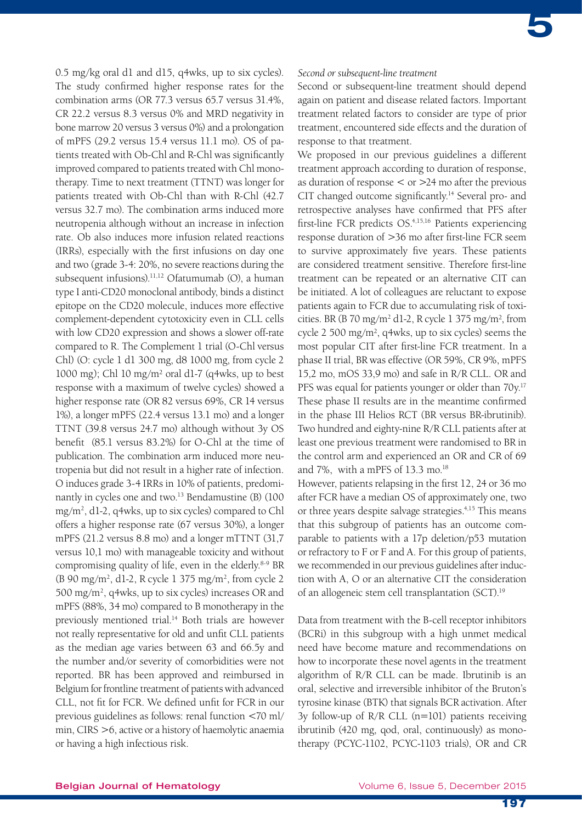0.5 mg/kg oral d1 and d15, q4wks, up to six cycles). The study confirmed higher response rates for the combination arms (OR 77.3 versus 65.7 versus 31.4%, CR 22.2 versus 8.3 versus 0% and MRD negativity in bone marrow 20 versus 3 versus 0%) and a prolongation of mPFS (29.2 versus 15.4 versus 11.1 mo). OS of patients treated with Ob-Chl and R-Chl was significantly improved compared to patients treated with Chl monotherapy. Time to next treatment (TTNT) was longer for patients treated with Ob-Chl than with R-Chl (42.7 versus 32.7 mo). The combination arms induced more neutropenia although without an increase in infection rate. Ob also induces more infusion related reactions (IRRs), especially with the first infusions on day one and two (grade 3-4: 20%, no severe reactions during the subsequent infusions).<sup>11,12</sup> Ofatumumab (O), a human type I anti-CD20 monoclonal antibody, binds a distinct epitope on the CD20 molecule, induces more effective complement-dependent cytotoxicity even in CLL cells with low CD20 expression and shows a slower off-rate compared to R. The Complement 1 trial (O-Chl versus Chl) (O: cycle 1 d1 300 mg, d8 1000 mg, from cycle 2 1000 mg); Chl 10 mg/m² oral d1-7 (q4wks, up to best response with a maximum of twelve cycles) showed a higher response rate (OR 82 versus 69%, CR 14 versus 1%), a longer mPFS (22.4 versus 13.1 mo) and a longer TTNT (39.8 versus 24.7 mo) although without 3y OS benefit (85.1 versus 83.2%) for O-Chl at the time of publication. The combination arm induced more neutropenia but did not result in a higher rate of infection. O induces grade 3-4 IRRs in 10% of patients, predominantly in cycles one and two.<sup>13</sup> Bendamustine (B) (100 mg/m2 , d1-2, q4wks, up to six cycles) compared to Chl offers a higher response rate (67 versus 30%), a longer mPFS (21.2 versus 8.8 mo) and a longer mTTNT (31,7 versus 10,1 mo) with manageable toxicity and without compromising quality of life, even in the elderly.<sup>8-9</sup> BR (B 90 mg/m2 , d1-2, R cycle 1 375 mg/m2 , from cycle 2 500 mg/m2 , q4wks, up to six cycles) increases OR and mPFS (88%, 34 mo) compared to B monotherapy in the previously mentioned trial.<sup>14</sup> Both trials are however not really representative for old and unfit CLL patients as the median age varies between 63 and 66.5y and the number and/or severity of comorbidities were not reported. BR has been approved and reimbursed in Belgium for frontline treatment of patients with advanced CLL, not fit for FCR. We defined unfit for FCR in our previous guidelines as follows: renal function <70 ml/ min, CIRS >6, active or a history of haemolytic anaemia or having a high infectious risk.

#### *Second or subsequent-line treatment*

Second or subsequent-line treatment should depend again on patient and disease related factors. Important treatment related factors to consider are type of prior treatment, encountered side effects and the duration of response to that treatment.

We proposed in our previous guidelines a different treatment approach according to duration of response, as duration of response  $\leq$  or  $>$ 24 mo after the previous CIT changed outcome significantly.14 Several pro- and retrospective analyses have confirmed that PFS after first-line FCR predicts OS.<sup>4,15,16</sup> Patients experiencing response duration of >36 mo after first-line FCR seem to survive approximately five years. These patients are considered treatment sensitive. Therefore first-line treatment can be repeated or an alternative CIT can be initiated. A lot of colleagues are reluctant to expose patients again to FCR due to accumulating risk of toxicities. BR (B  $70 \text{ mg/m}^2$  d1-2, R cycle 1  $375 \text{ mg/m}^2$ , from cycle 2 500 mg/m², q4wks, up to six cycles) seems the most popular CIT after first-line FCR treatment. In a phase II trial, BR was effective (OR 59%, CR 9%, mPFS 15,2 mo, mOS 33,9 mo) and safe in R/R CLL. OR and PFS was equal for patients younger or older than 70y.<sup>17</sup> These phase II results are in the meantime confirmed in the phase III Helios RCT (BR versus BR-ibrutinib). Two hundred and eighty-nine R/R CLL patients after at least one previous treatment were randomised to BR in the control arm and experienced an OR and CR of 69 and 7%, with a mPFS of 13.3 mo.<sup>18</sup>

However, patients relapsing in the first 12, 24 or 36 mo after FCR have a median OS of approximately one, two or three years despite salvage strategies.<sup>4,15</sup> This means that this subgroup of patients has an outcome comparable to patients with a 17p deletion/p53 mutation or refractory to F or F and A. For this group of patients, we recommended in our previous guidelines after induction with A, O or an alternative CIT the consideration of an allogeneic stem cell transplantation (SCT).19

Data from treatment with the B-cell receptor inhibitors (BCRi) in this subgroup with a high unmet medical need have become mature and recommendations on how to incorporate these novel agents in the treatment algorithm of R/R CLL can be made. Ibrutinib is an oral, selective and irreversible inhibitor of the Bruton's tyrosine kinase (BTK) that signals BCR activation. After 3y follow-up of R/R CLL (n=101) patients receiving ibrutinib (420 mg, qod, oral, continuously) as monotherapy (PCYC-1102, PCYC-1103 trials), OR and CR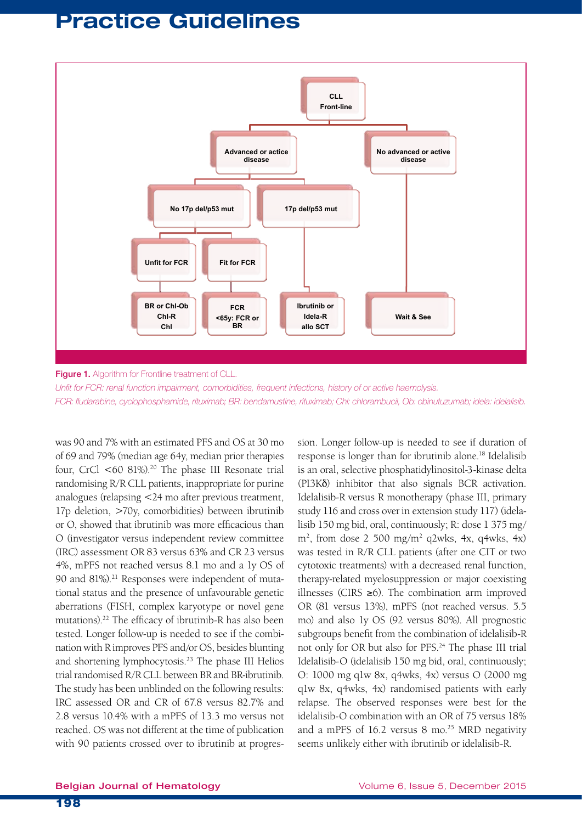

Figure 1. Algorithm for Frontline treatment of CLL.

*Unfit for FCR: renal function impairment, comorbidities, frequent infections, history of or active haemolysis. FCR: fludarabine, cyclophosphamide, rituximab; BR: bendamustine, rituximab; Chl: chlorambucil, Ob: obinutuzumab; idela: idelalisib.*

was 90 and 7% with an estimated PFS and OS at 30 mo of 69 and 79% (median age 64y, median prior therapies four, CrCl  $\leq 60$  81%).<sup>20</sup> The phase III Resonate trial randomising R/R CLL patients, inappropriate for purine analogues (relapsing <24 mo after previous treatment, 17p deletion, >70y, comorbidities) between ibrutinib or O, showed that ibrutinib was more efficacious than O (investigator versus independent review committee (IRC) assessment OR 83 versus 63% and CR 23 versus 4%, mPFS not reached versus 8.1 mo and a 1y OS of 90 and 81%).<sup>21</sup> Responses were independent of mutational status and the presence of unfavourable genetic aberrations (FISH, complex karyotype or novel gene mutations).22 The efficacy of ibrutinib-R has also been tested. Longer follow-up is needed to see if the combination with R improves PFS and/or OS, besides blunting and shortening lymphocytosis.23 The phase III Helios trial randomised R/R CLL between BR and BR-ibrutinib. The study has been unblinded on the following results: IRC assessed OR and CR of 67.8 versus 82.7% and 2.8 versus 10.4% with a mPFS of 13.3 mo versus not reached. OS was not different at the time of publication with 90 patients crossed over to ibrutinib at progression. Longer follow-up is needed to see if duration of response is longer than for ibrutinib alone.<sup>18</sup> Idelalisib is an oral, selective phosphatidylinositol-3-kinase delta (PI3Kδ) inhibitor that also signals BCR activation. Idelalisib-R versus R monotherapy (phase III, primary study 116 and cross over in extension study 117) (idelalisib 150 mg bid, oral, continuously; R: dose 1 375 mg/  $m<sup>2</sup>$ , from dose 2 500 mg/m<sup>2</sup> q2wks, 4x, q4wks, 4x) was tested in R/R CLL patients (after one CIT or two cytotoxic treatments) with a decreased renal function, therapy-related myelosuppression or major coexisting illnesses (CIRS ≥6). The combination arm improved OR (81 versus 13%), mPFS (not reached versus. 5.5 mo) and also 1y OS (92 versus 80%). All prognostic subgroups benefit from the combination of idelalisib-R not only for OR but also for PFS.24 The phase III trial Idelalisib-O (idelalisib 150 mg bid, oral, continuously; O: 1000 mg q1w 8x, q4wks, 4x) versus O (2000 mg q1w 8x, q4wks, 4x) randomised patients with early relapse. The observed responses were best for the idelalisib-O combination with an OR of 75 versus 18% and a mPFS of  $16.2$  versus 8 mo.<sup>25</sup> MRD negativity seems unlikely either with ibrutinib or idelalisib-R.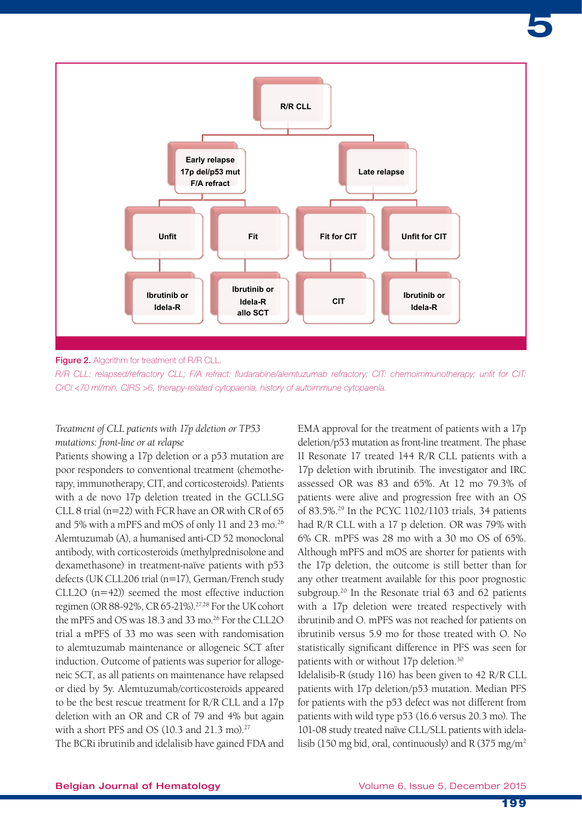

Figure 2. Algorithm for treatment of R/R CLL.

*R/R CLL: relapsed/refractory CLL; F/A refract: fludarabine/alemtuzumab refractory; CIT: chemoimmunotherapy; unfit for CIT: CrCl <70 ml/min, CIRS >6, therapy-related cytopaenia, history of autoimmune cytopaenia.*

### *Treatment of CLL patients with 17p deletion or TP53 mutations: front-line or at relapse*

Patients showing a 17p deletion or a p53 mutation are poor responders to conventional treatment (chemotherapy, immunotherapy, CIT, and corticosteroids). Patients with a de novo 17p deletion treated in the GCLLSG CLL 8 trial (n=22) with FCR have an OR with CR of 65 and 5% with a mPFS and mOS of only 11 and 23 mo.<sup>26</sup> Alemtuzumab (A), a humanised anti-CD 52 monoclonal antibody, with corticosteroids (methylprednisolone and dexamethasone) in treatment-naïve patients with p53 defects (UK CLL206 trial (n=17), German/French study CLL2O (n=42)) seemed the most effective induction regimen (OR 88-92%, CR 65-21%).27,28 For the UK cohort the mPFS and OS was 18.3 and 33 mo.<sup>26</sup> For the CLL2O trial a mPFS of 33 mo was seen with randomisation to alemtuzumab maintenance or allogeneic SCT after induction. Outcome of patients was superior for allogeneic SCT, as all patients on maintenance have relapsed or died by 5y. Alemtuzumab/corticosteroids appeared to be the best rescue treatment for R/R CLL and a 17p deletion with an OR and CR of 79 and 4% but again with a short PFS and OS  $(10.3 \text{ and } 21.3 \text{ mo})^{27}$ 

The BCRi ibrutinib and idelalisib have gained FDA and

EMA approval for the treatment of patients with a 17p deletion/p53 mutation as front-line treatment. The phase II Resonate 17 treated 144 R/R CLL patients with a 17p deletion with ibrutinib. The investigator and IRC assessed OR was 83 and 65%. At 12 mo 79.3% of patients were alive and progression free with an OS of 83.5%.29 In the PCYC 1102/1103 trials, 34 patients had R/R CLL with a 17 p deletion. OR was 79% with 6% CR. mPFS was 28 mo with a 30 mo OS of 65%. Although mPFS and mOS are shorter for patients with the 17p deletion, the outcome is still better than for any other treatment available for this poor prognostic subgroup.<sup>20</sup> In the Resonate trial 63 and 62 patients with a 17p deletion were treated respectively with ibrutinib and O. mPFS was not reached for patients on ibrutinib versus 5.9 mo for those treated with O. No statistically significant difference in PFS was seen for patients with or without 17p deletion.30

Idelalisib-R (study 116) has been given to 42 R/R CLL patients with 17p deletion/p53 mutation. Median PFS for patients with the p53 defect was not different from patients with wild type p53 (16.6 versus 20.3 mo). The 101-08 study treated naïve CLL/SLL patients with idelalisib (150 mg bid, oral, continuously) and R (375 mg/m<sup>2</sup>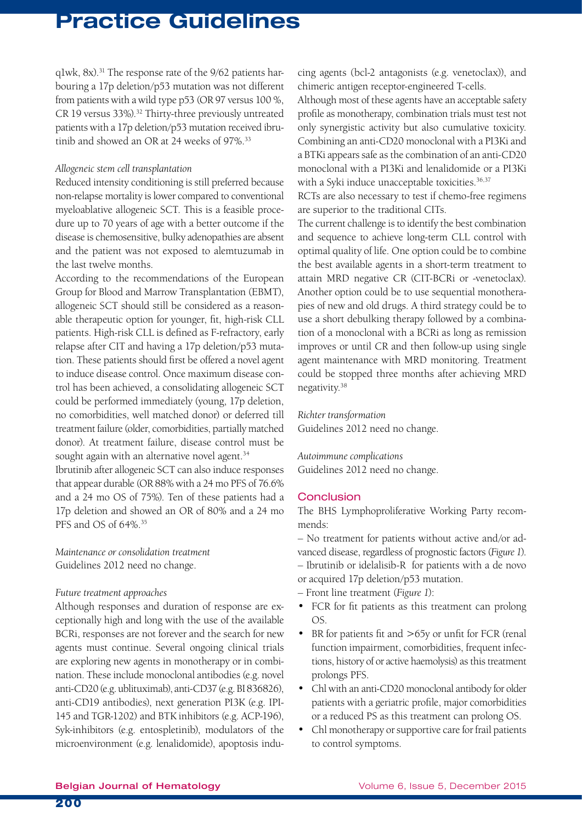$q1wk$ ,  $8x$ ).<sup>31</sup> The response rate of the  $9/62$  patients harbouring a 17p deletion/p53 mutation was not different from patients with a wild type p53 (OR 97 versus 100 %, CR 19 versus 33%).<sup>32</sup> Thirty-three previously untreated patients with a 17p deletion/p53 mutation received ibrutinib and showed an OR at 24 weeks of 97%.<sup>33</sup>

#### *Allogeneic stem cell transplantation*

Reduced intensity conditioning is still preferred because non-relapse mortality is lower compared to conventional myeloablative allogeneic SCT. This is a feasible procedure up to 70 years of age with a better outcome if the disease is chemosensitive, bulky adenopathies are absent and the patient was not exposed to alemtuzumab in the last twelve months.

According to the recommendations of the European Group for Blood and Marrow Transplantation (EBMT), allogeneic SCT should still be considered as a reasonable therapeutic option for younger, fit, high-risk CLL patients. High-risk CLL is defined as F-refractory, early relapse after CIT and having a 17p deletion/p53 mutation. These patients should first be offered a novel agent to induce disease control. Once maximum disease control has been achieved, a consolidating allogeneic SCT could be performed immediately (young, 17p deletion, no comorbidities, well matched donor) or deferred till treatment failure (older, comorbidities, partially matched donor). At treatment failure, disease control must be sought again with an alternative novel agent.<sup>34</sup>

Ibrutinib after allogeneic SCT can also induce responses that appear durable (OR 88% with a 24 mo PFS of 76.6% and a 24 mo OS of 75%). Ten of these patients had a 17p deletion and showed an OR of 80% and a 24 mo PFS and OS of 64%.35

*Maintenance or consolidation treatment* Guidelines 2012 need no change.

#### *Future treatment approaches*

Although responses and duration of response are exceptionally high and long with the use of the available BCRi, responses are not forever and the search for new agents must continue. Several ongoing clinical trials are exploring new agents in monotherapy or in combination. These include monoclonal antibodies (e.g. novel anti-CD20 (e.g. ublituximab), anti-CD37 (e.g. BI 836826), anti-CD19 antibodies), next generation PI3K (e.g. IPI-145 and TGR-1202) and BTK inhibitors (e.g. ACP-196), Syk-inhibitors (e.g. entospletinib), modulators of the microenvironment (e.g. lenalidomide), apoptosis inducing agents (bcl-2 antagonists (e.g. venetoclax)), and chimeric antigen receptor-engineered T-cells.

Although most of these agents have an acceptable safety profile as monotherapy, combination trials must test not only synergistic activity but also cumulative toxicity. Combining an anti-CD20 monoclonal with a PI3Ki and a BTKi appears safe as the combination of an anti-CD20 monoclonal with a PI3Ki and lenalidomide or a PI3Ki with a Syki induce unacceptable toxicities.<sup>36,37</sup>

RCTs are also necessary to test if chemo-free regimens are superior to the traditional CITs.

The current challenge is to identify the best combination and sequence to achieve long-term CLL control with optimal quality of life. One option could be to combine the best available agents in a short-term treatment to attain MRD negative CR (CIT-BCRi or -venetoclax). Another option could be to use sequential monotherapies of new and old drugs. A third strategy could be to use a short debulking therapy followed by a combination of a monoclonal with a BCRi as long as remission improves or until CR and then follow-up using single agent maintenance with MRD monitoring. Treatment could be stopped three months after achieving MRD negativity.38

*Richter transformation* Guidelines 2012 need no change.

*Autoimmune complications* Guidelines 2012 need no change.

### **Conclusion**

The BHS Lymphoproliferative Working Party recommends:

– No treatment for patients without active and/or advanced disease, regardless of prognostic factors (*Figure 1*). – Ibrutinib or idelalisib-R for patients with a de novo

or acquired 17p deletion/p53 mutation.

- Front line treatment (*Figure 1*):
- FCR for fit patients as this treatment can prolong OS.
- BR for patients fit and >65y or unfit for FCR (renal function impairment, comorbidities, frequent infections, history of or active haemolysis) as this treatment prolongs PFS.
- Chl with an anti-CD20 monoclonal antibody for older patients with a geriatric profile, major comorbidities or a reduced PS as this treatment can prolong OS.
- Chl monotherapy or supportive care for frail patients to control symptoms.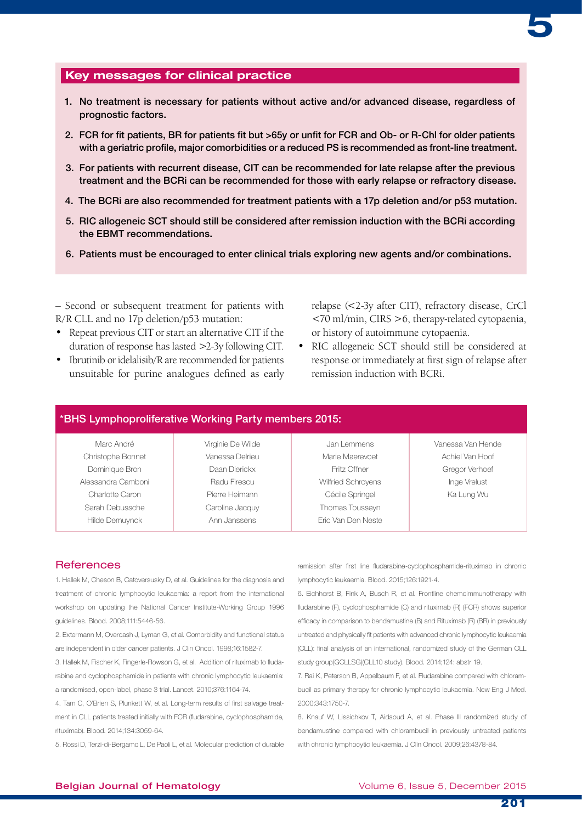

### Key messages for clinical practice

- 1. No treatment is necessary for patients without active and/or advanced disease, regardless of prognostic factors.
- 2. FCR for fit patients, BR for patients fit but >65y or unfit for FCR and Ob- or R-Chl for older patients with a geriatric profile, major comorbidities or a reduced PS is recommended as front-line treatment.
- 3. For patients with recurrent disease, CIT can be recommended for late relapse after the previous treatment and the BCRi can be recommended for those with early relapse or refractory disease.
- 4. The BCRi are also recommended for treatment patients with a 17p deletion and/or p53 mutation.
- 5. RIC allogeneic SCT should still be considered after remission induction with the BCRi according the EBMT recommendations.
- 6. Patients must be encouraged to enter clinical trials exploring new agents and/or combinations.

– Second or subsequent treatment for patients with R/R CLL and no 17p deletion/p53 mutation:

- Repeat previous CIT or start an alternative CIT if the duration of response has lasted >2-3y following CIT.
- Ibrutinib or idelalisib/R are recommended for patients unsuitable for purine analogues defined as early

relapse (<2-3y after CIT), refractory disease, CrCl <70 ml/min, CIRS >6, therapy-related cytopaenia, or history of autoimmune cytopaenia.

• RIC allogeneic SCT should still be considered at response or immediately at first sign of relapse after remission induction with BCRi.

# \*BHS Lymphoproliferative Working Party members 2015:

| Marc André         | Virginie De Wilde | Jan Lemmens        | Vanessa Van Hende |
|--------------------|-------------------|--------------------|-------------------|
| Christophe Bonnet  | Vanessa Delrieu   | Marie Maerevoet    | Achiel Van Hoof   |
| Dominique Bron     | Daan Dierickx     | Fritz Offner       | Gregor Verhoef    |
| Alessandra Camboni | Radu Firescu      | Wilfried Schrovens | Inge Vrelust      |
| Charlotte Caron    | Pierre Heimann    | Cécile Springel    | Ka Lung Wu        |
| Sarah Debussche    | Caroline Jacquy   | Thomas Tousseyn    |                   |
| Hilde Demuynck     | Ann Janssens      | Eric Van Den Neste |                   |

### **References**

1. Hallek M, Cheson B, Catoversusky D, et al. Guidelines for the diagnosis and treatment of chronic lymphocytic leukaemia: a report from the international workshop on updating the National Cancer Institute-Working Group 1996 guidelines. Blood. 2008;111:5446-56.

2. Extermann M, Overcash J, Lyman G, et al. Comorbidity and functional status are independent in older cancer patients. J Clin Oncol. 1998;16:1582-7.

3. Hallek M, Fischer K, Fingerle-Rowson G, et al. Addition of rituximab to fludarabine and cyclophosphamide in patients with chronic lymphocytic leukaemia: a randomised, open-label, phase 3 trial. Lancet. 2010;376:1164-74.

4. Tam C, O'Brien S, Plunkett W, et al. Long-term results of first salvage treatment in CLL patients treated initially with FCR (fludarabine, cyclophosphamide, rituximab). Blood. 2014;134:3059-64.

5. Rossi D, Terzi-di-Bergamo L, De Paoli L, et al. Molecular prediction of durable

remission after first line fludarabine-cyclophosphamide-rituximab in chronic lymphocytic leukaemia. Blood. 2015;126:1921-4.

6. Eichhorst B, Fink A, Busch R, et al. Frontline chemoimmunotherapy with fludarabine (F), cyclophosphamide (C) and rituximab (R) (FCR) shows superior efficacy in comparison to bendamustine (B) and Rituximab (R) (BR) in previously untreated and physically fit patients with advanced chronic lymphocytic leukaemia (CLL): final analysis of an international, randomized study of the German CLL study group(GCLLSG)(CLL10 study). Blood. 2014;124: abstr 19.

7. Rai K, Peterson B, Appelbaum F, et al. Fludarabine compared with chlorambucil as primary therapy for chronic lymphocytic leukaemia. New Eng J Med. 2000;343:1750-7.

8. Knauf W, Lissichkov T, Aidaoud A, et al. Phase III randomized study of bendamustine compared with chlorambucil in previously untreated patients with chronic lymphocytic leukaemia. J Clin Oncol. 2009;26:4378-84.